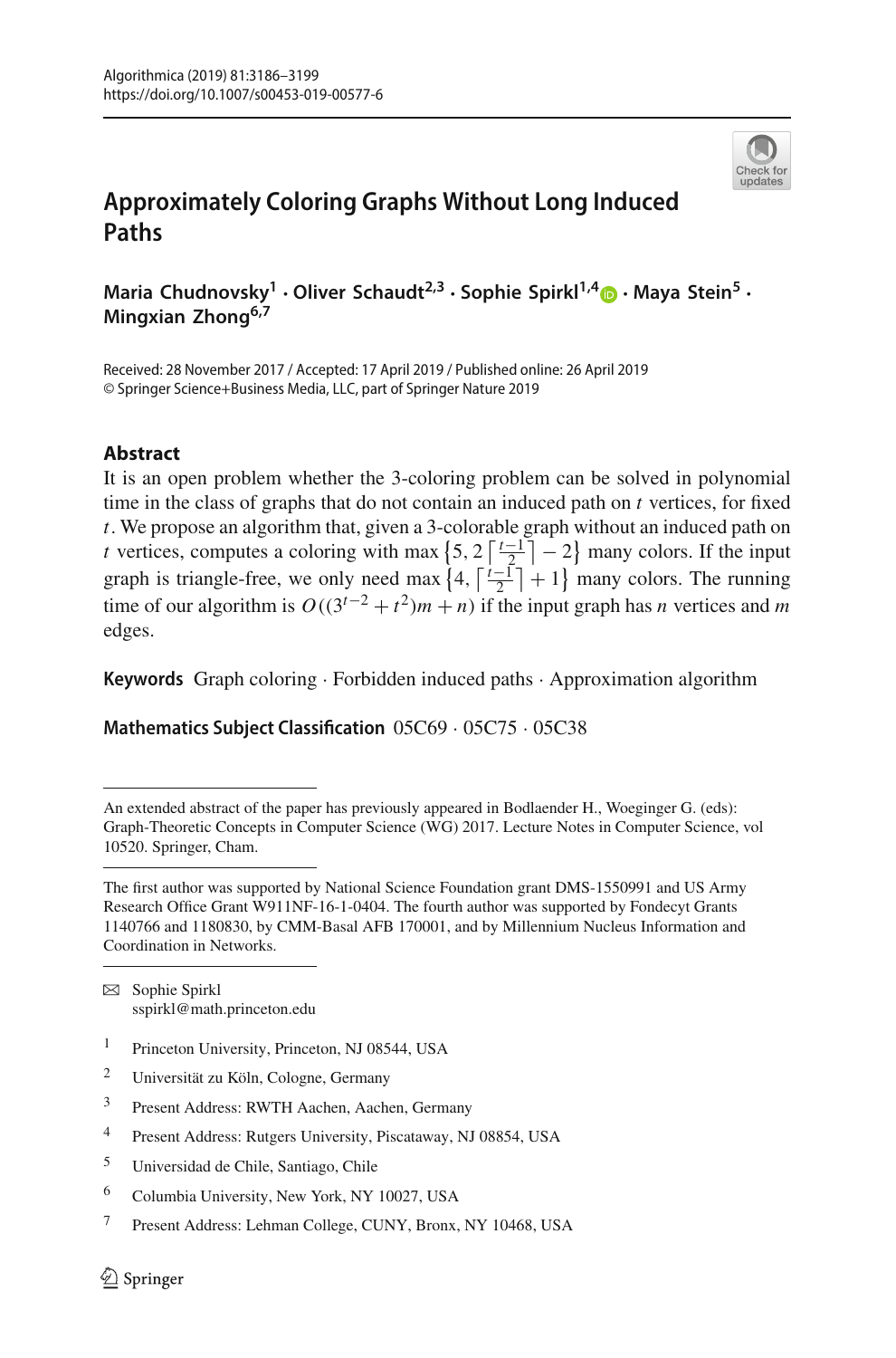

# **Approximately Coloring Graphs Without Long Induced Paths**

**Maria Chudnovsky1 · Oliver Schaudt2,3 · Sophie Spirkl1,[4](http://orcid.org/0000-0002-2536-5618) · Maya Stein<sup>5</sup> · Mingxian Zhong6,7**

Received: 28 November 2017 / Accepted: 17 April 2019 / Published online: 26 April 2019 © Springer Science+Business Media, LLC, part of Springer Nature 2019

## **Abstract**

It is an open problem whether the 3-coloring problem can be solved in polynomial time in the class of graphs that do not contain an induced path on *t* vertices, for fixed *t*. We propose an algorithm that, given a 3-colorable graph without an induced path on *t* vertices, computes a coloring with max  $\left\{5, 2\left\lceil \frac{t-1}{2} \right\rceil - 2\right\}$  many colors. If the input graph is triangle-free, we only need max  $\left\{4, \left\lceil \frac{t-1}{2} \right\rceil + 1\right\}$  many colors. The running time of our algorithm is  $O((3^{t-2} + t^2)m + n)$  if the input graph has *n* vertices and *m* edges.

**Keywords** Graph coloring · Forbidden induced paths · Approximation algorithm

**Mathematics Subject Classification** 05C69 · 05C75 · 05C38

 $\boxtimes$  Sophie Spirkl sspirkl@math.princeton.edu

- <sup>1</sup> Princeton University, Princeton, NJ 08544, USA
- <sup>2</sup> Universität zu Köln, Cologne, Germany

- <sup>4</sup> Present Address: Rutgers University, Piscataway, NJ 08854, USA
- <sup>5</sup> Universidad de Chile, Santiago, Chile
- <sup>6</sup> Columbia University, New York, NY 10027, USA
- <sup>7</sup> Present Address: Lehman College, CUNY, Bronx, NY 10468, USA

An extended abstract of the paper has previously appeared in Bodlaender H., Woeginger G. (eds): Graph-Theoretic Concepts in Computer Science (WG) 2017. Lecture Notes in Computer Science, vol 10520. Springer, Cham.

The first author was supported by National Science Foundation grant DMS-1550991 and US Army Research Office Grant W911NF-16-1-0404. The fourth author was supported by Fondecyt Grants 1140766 and 1180830, by CMM-Basal AFB 170001, and by Millennium Nucleus Information and Coordination in Networks.

<sup>3</sup> Present Address: RWTH Aachen, Aachen, Germany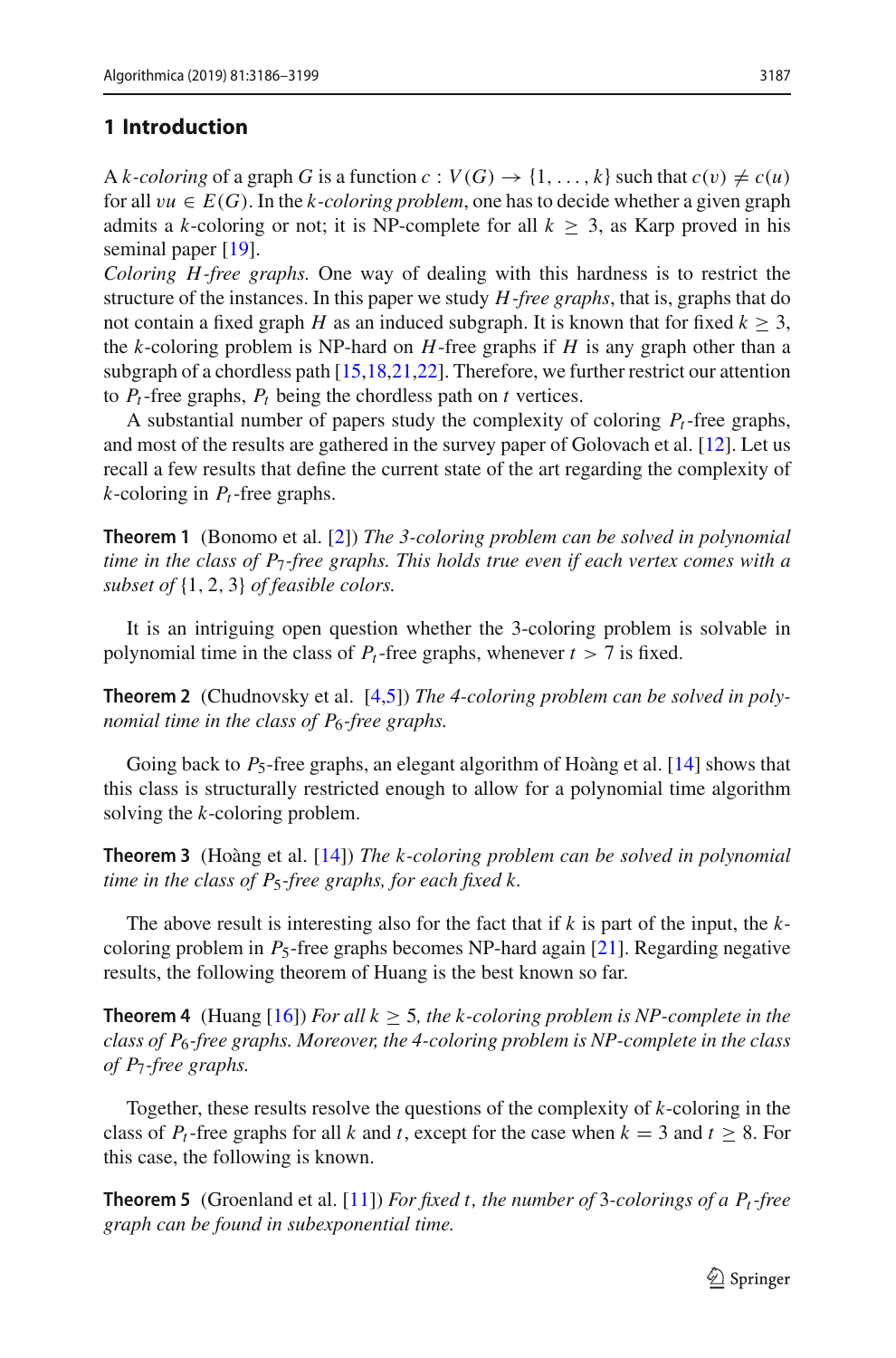## **1 Introduction**

A *k*-coloring of a graph *G* is a function  $c: V(G) \rightarrow \{1, \ldots, k\}$  such that  $c(v) \neq c(u)$ for all  $vu \in E(G)$ . In the *k-coloring problem*, one has to decide whether a given graph admits a *k*-coloring or not; it is NP-complete for all  $k \geq 3$ , as Karp proved in his seminal paper [\[19](#page-13-0)].

*Coloring H -free graphs.* One way of dealing with this hardness is to restrict the structure of the instances. In this paper we study *H -free graphs*, that is, graphs that do not contain a fixed graph *H* as an induced subgraph. It is known that for fixed  $k > 3$ , the *k*-coloring problem is NP-hard on *H*-free graphs if *H* is any graph other than a subgraph of a chordless path [\[15](#page-13-1)[,18](#page-13-2)[,21](#page-13-3)[,22\]](#page-13-4). Therefore, we further restrict our attention to  $P_t$ -free graphs,  $P_t$  being the chordless path on  $t$  vertices.

A substantial number of papers study the complexity of coloring  $P_t$ -free graphs, and most of the results are gathered in the survey paper of Golovach et al. [\[12\]](#page-12-0). Let us recall a few results that define the current state of the art regarding the complexity of *k*-coloring in *Pt*-free graphs.

**Theorem 1** (Bonomo et al. [\[2](#page-12-1)]) *The 3-coloring problem can be solved in polynomial time in the class of P*7*-free graphs. This holds true even if each vertex comes with a subset of* {1, 2, 3} *of feasible colors.*

It is an intriguing open question whether the 3-coloring problem is solvable in polynomial time in the class of  $P_t$ -free graphs, whenever  $t > 7$  is fixed.

**Theorem 2** (Chudnovsky et al. [\[4](#page-12-2)[,5](#page-12-3)]) *The 4-coloring problem can be solved in polynomial time in the class of P*6*-free graphs.*

Going back to  $P_5$ -free graphs, an elegant algorithm of Hoàng et al. [\[14\]](#page-12-4) shows that this class is structurally restricted enough to allow for a polynomial time algorithm solving the *k*-coloring problem.

**Theorem 3** (Hoàng et al. [\[14](#page-12-4)]) *The k-coloring problem can be solved in polynomial time in the class of P*5*-free graphs, for each fixed k.*

The above result is interesting also for the fact that if *k* is part of the input, the *k*coloring problem in *P*5-free graphs becomes NP-hard again [\[21](#page-13-3)]. Regarding negative results, the following theorem of Huang is the best known so far.

**Theorem 4** (Huang [\[16\]](#page-13-5)) *For all k*  $\geq$  5*, the k-coloring problem is NP-complete in the class of P*6*-free graphs. Moreover, the 4-coloring problem is NP-complete in the class of P*7*-free graphs.*

Together, these results resolve the questions of the complexity of *k*-coloring in the class of  $P_t$ -free graphs for all *k* and *t*, except for the case when  $k = 3$  and  $t \ge 8$ . For this case, the following is known.

**Theorem 5** (Groenland et al. [\[11](#page-12-5)]) *For fixed t, the number of* 3*-colorings of a Pt-free graph can be found in subexponential time.*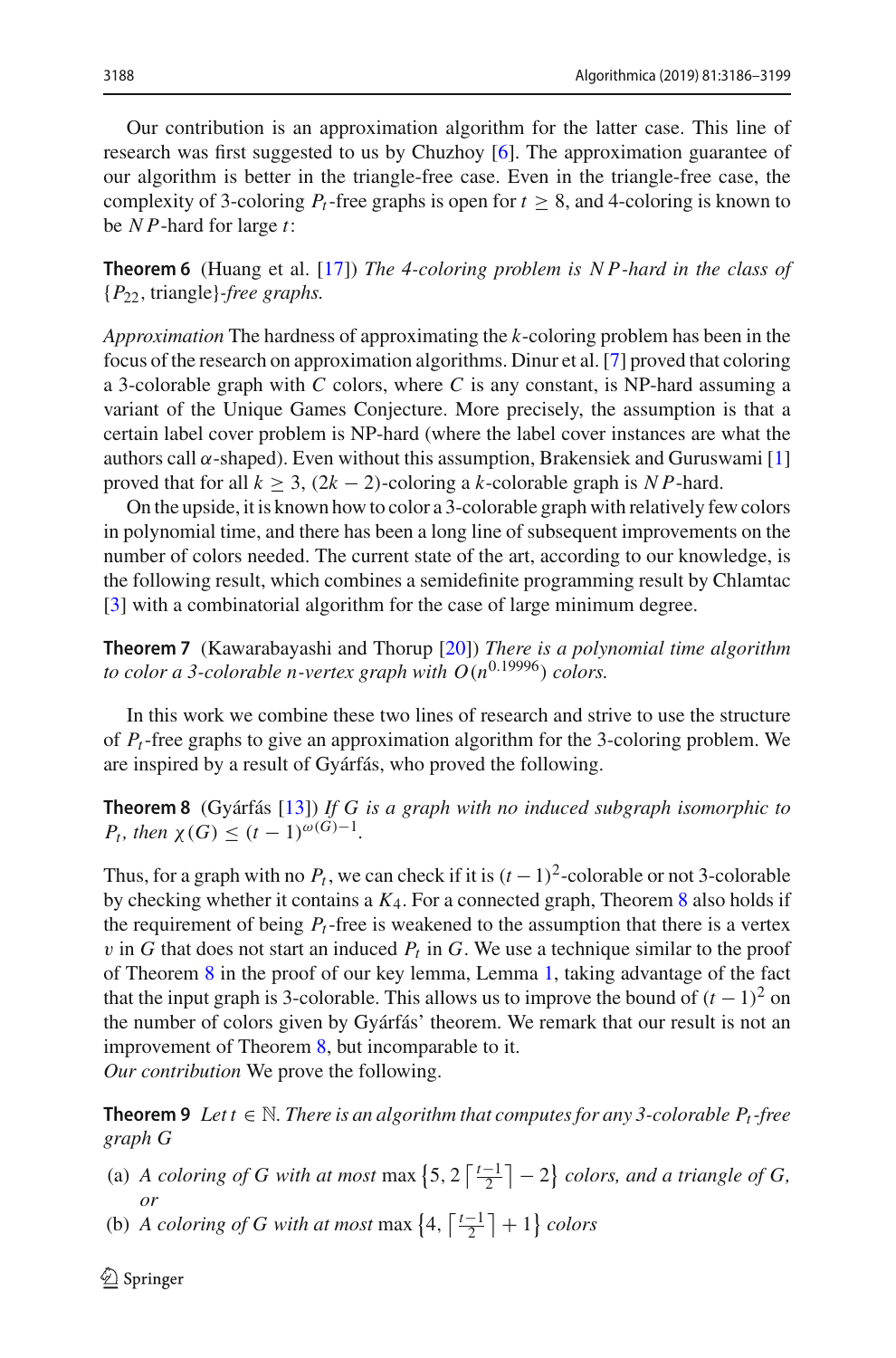Our contribution is an approximation algorithm for the latter case. This line of research was first suggested to us by Chuzhoy [\[6](#page-12-6)]. The approximation guarantee of our algorithm is better in the triangle-free case. Even in the triangle-free case, the complexity of 3-coloring  $P_t$ -free graphs is open for  $t \geq 8$ , and 4-coloring is known to be *N P*-hard for large *t*:

**Theorem 6** (Huang et al. [\[17\]](#page-13-6)) *The 4-coloring problem is N P-hard in the class of* {*P*22, triangle}*-free graphs.*

*Approximation* The hardness of approximating the *k*-coloring problem has been in the focus of the research on approximation algorithms. Dinur et al. [\[7](#page-12-7)] proved that coloring a 3-colorable graph with *C* colors, where *C* is any constant, is NP-hard assuming a variant of the Unique Games Conjecture. More precisely, the assumption is that a certain label cover problem is NP-hard (where the label cover instances are what the authors call  $\alpha$ -shaped). Even without this assumption, Brakensiek and Guruswami [\[1\]](#page-12-8) proved that for all  $k \geq 3$ ,  $(2k - 2)$ -coloring a *k*-colorable graph is *NP*-hard.

On the upside, it is known how to color a 3-colorable graph with relatively few colors in polynomial time, and there has been a long line of subsequent improvements on the number of colors needed. The current state of the art, according to our knowledge, is the following result, which combines a semidefinite programming result by Chlamtac [\[3](#page-12-9)] with a combinatorial algorithm for the case of large minimum degree.

**Theorem 7** (Kawarabayashi and Thorup [\[20\]](#page-13-7)) *There is a polynomial time algorithm to color a 3-colorable n-vertex graph with*  $O(n^{0.19996})$  *colors.* 

In this work we combine these two lines of research and strive to use the structure of *Pt*-free graphs to give an approximation algorithm for the 3-coloring problem. We are inspired by a result of Gyárfás, who proved the following.

<span id="page-2-0"></span>**Theorem 8** (Gyárfás [\[13\]](#page-12-10)) *If G is a graph with no induced subgraph isomorphic to P<sub>t</sub>*, then  $\chi(G) \leq (t-1)^{\omega(G)-1}$ .

Thus, for a graph with no  $P_t$ , we can check if it is  $(t-1)^2$ -colorable or not 3-colorable by checking whether it contains a *K*4. For a connected graph, Theorem [8](#page-2-0) also holds if the requirement of being  $P_t$ -free is weakened to the assumption that there is a vertex  $v$  in  $G$  that does not start an induced  $P_t$  in  $G$ . We use a technique similar to the proof of Theorem [8](#page-2-0) in the proof of our key lemma, Lemma [1,](#page-3-0) taking advantage of the fact that the input graph is 3-colorable. This allows us to improve the bound of  $(t-1)^2$  on the number of colors given by Gyárfás' theorem. We remark that our result is not an improvement of Theorem [8,](#page-2-0) but incomparable to it. *Our contribution* We prove the following.

<span id="page-2-1"></span>**Theorem 9** *Let t*  $\in$  *N. There is an algorithm that computes for any 3-colorable*  $P_t$ *-free graph G*

- (a) *A coloring of G with at most* max  $\left\{5, 2\left\lceil \frac{t-1}{2} \right\rceil 2\right\}$  *colors, and a triangle of G, or*
- (b) *A coloring of G with at most* max  $\left\{4, \left\lceil \frac{t-1}{2} \right\rceil + 1\right\}$  *colors*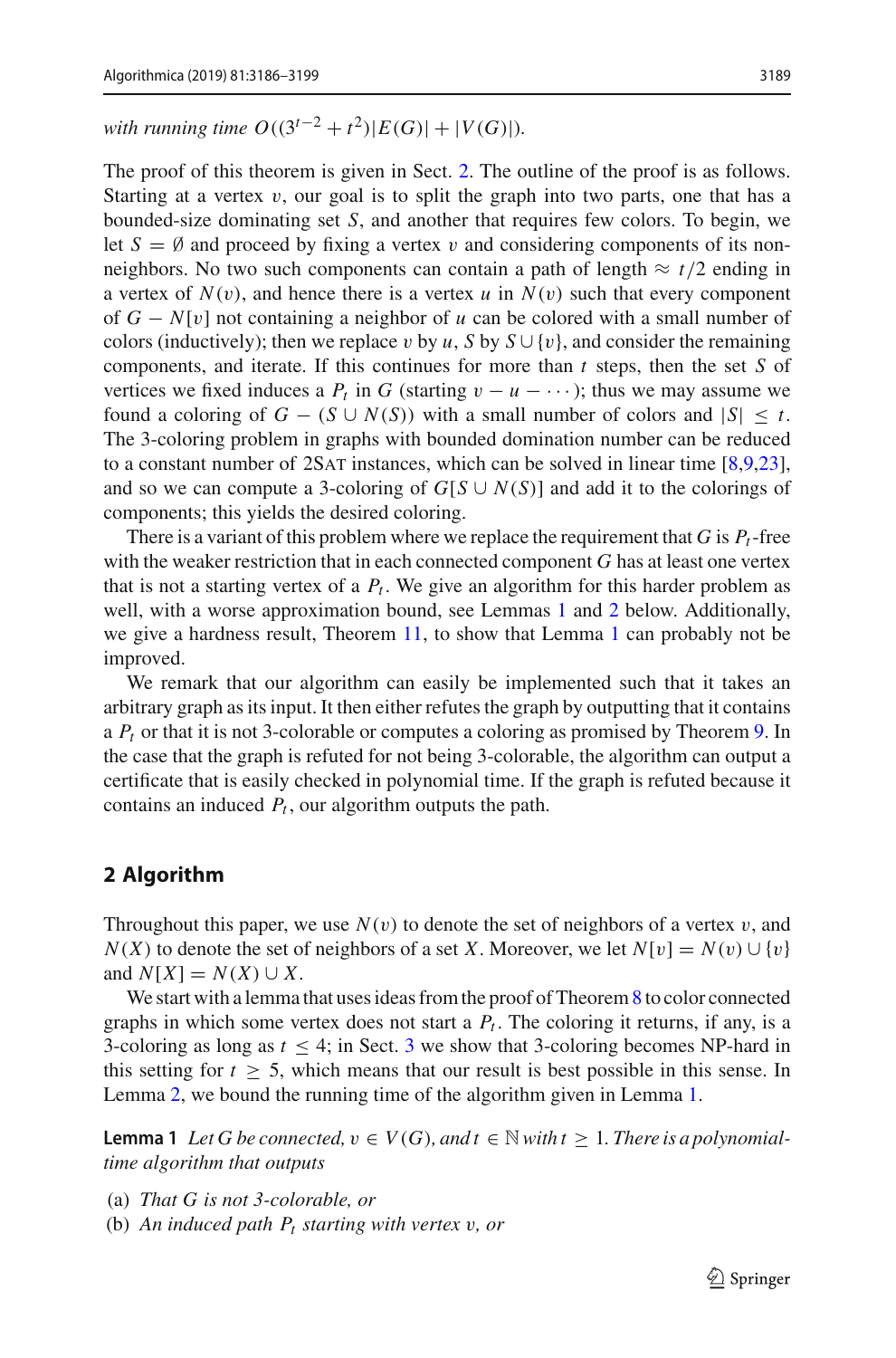The proof of this theorem is given in Sect. [2.](#page-3-1) The outline of the proof is as follows. Starting at a vertex  $v$ , our goal is to split the graph into two parts, one that has a bounded-size dominating set *S*, and another that requires few colors. To begin, we let  $S = \emptyset$  and proceed by fixing a vertex v and considering components of its nonneighbors. No two such components can contain a path of length  $\approx t/2$  ending in a vertex of  $N(v)$ , and hence there is a vertex *u* in  $N(v)$  such that every component of *G* − *N*[v] not containing a neighbor of *u* can be colored with a small number of colors (inductively); then we replace v by  $u$ ,  $S$  by  $S \cup \{v\}$ , and consider the remaining components, and iterate. If this continues for more than *t* steps, then the set *S* of vertices we fixed induces a  $P_t$  in *G* (starting  $v - u - \cdots$ ); thus we may assume we found a coloring of  $G - (S \cup N(S))$  with a small number of colors and  $|S| \leq t$ . The 3-coloring problem in graphs with bounded domination number can be reduced to a constant number of 2SAT instances, which can be solved in linear time [\[8](#page-12-11)[,9](#page-12-12)[,23](#page-13-8)], and so we can compute a 3-coloring of  $G[S \cup N(S)]$  and add it to the colorings of components; this yields the desired coloring.

There is a variant of this problem where we replace the requirement that  $G$  is  $P_t$ -free with the weaker restriction that in each connected component *G* has at least one vertex that is not a starting vertex of a  $P_t$ . We give an algorithm for this harder problem as well, with a worse approximation bound, see Lemmas [1](#page-3-0) and [2](#page-5-0) below. Additionally, we give a hardness result, Theorem [11,](#page-10-0) to show that Lemma [1](#page-3-0) can probably not be improved.

We remark that our algorithm can easily be implemented such that it takes an arbitrary graph as its input. It then either refutes the graph by outputting that it contains a *Pt* or that it is not 3-colorable or computes a coloring as promised by Theorem [9.](#page-2-1) In the case that the graph is refuted for not being 3-colorable, the algorithm can output a certificate that is easily checked in polynomial time. If the graph is refuted because it contains an induced  $P_t$ , our algorithm outputs the path.

# <span id="page-3-1"></span>**2 Algorithm**

Throughout this paper, we use  $N(v)$  to denote the set of neighbors of a vertex v, and  $N(X)$  to denote the set of neighbors of a set *X*. Moreover, we let  $N[v] = N(v) \cup \{v\}$ and  $N[X] = N(X) \cup X$ .

We start with a lemma that uses ideas from the proof of Theorem [8](#page-2-0) to color connected graphs in which some vertex does not start a  $P_t$ . The coloring it returns, if any, is a [3](#page-10-1)-coloring as long as  $t \leq 4$ ; in Sect. 3 we show that 3-coloring becomes NP-hard in this setting for  $t \geq 5$ , which means that our result is best possible in this sense. In Lemma [2,](#page-5-0) we bound the running time of the algorithm given in Lemma [1.](#page-3-0)

<span id="page-3-0"></span>**Lemma 1** Let G be connected,  $v \in V(G)$ , and  $t \in \mathbb{N}$  with  $t \geq 1$ . There is a polynomial*time algorithm that outputs*

- (a) *That G is not 3-colorable, or*
- (b) *An induced path Pt starting with vertex* v*, or*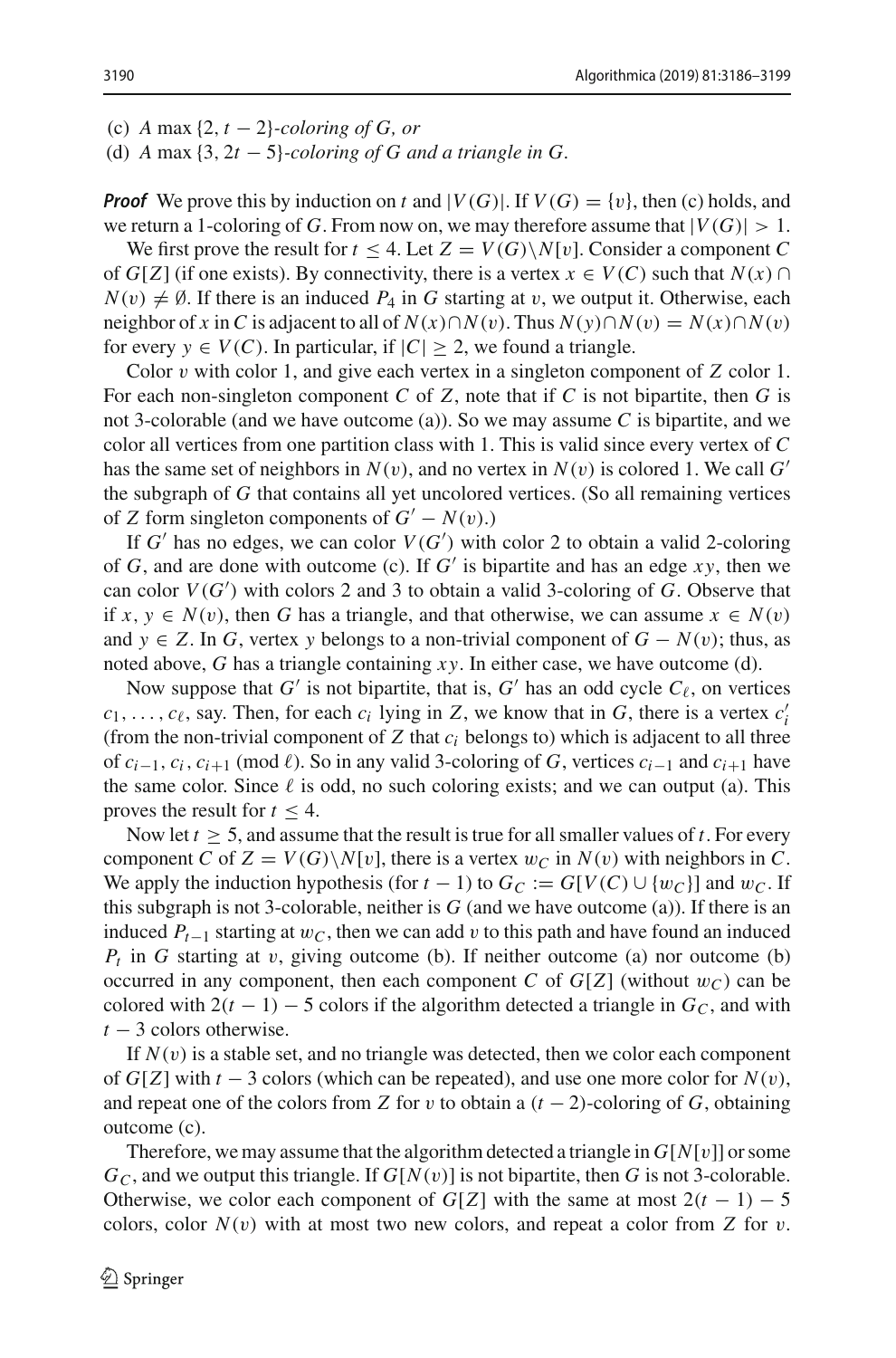(c) *A* max {2, *t* − 2}*-coloring of G, or*

(d) *A* max {3, 2*t* − 5}*-coloring of G and a triangle in G.*

*Proof* We prove this by induction on *t* and  $|V(G)|$ . If  $V(G) = \{v\}$ , then (c) holds, and we return a 1-coloring of *G*. From now on, we may therefore assume that  $|V(G)| > 1$ .

We first prove the result for  $t \leq 4$ . Let  $Z = V(G) \setminus N[v]$ . Consider a component C of *G*[*Z*] (if one exists). By connectivity, there is a vertex  $x \in V(C)$  such that  $N(x) \cap$  $N(v) \neq \emptyset$ . If there is an induced  $P_4$  in *G* starting at v, we output it. Otherwise, each neighbor of *x* in *C* is adjacent to all of  $N(x) \cap N(v)$ . Thus  $N(y) \cap N(v) = N(x) \cap N(v)$ for every  $y \in V(C)$ . In particular, if  $|C| > 2$ , we found a triangle.

Color v with color 1, and give each vertex in a singleton component of *Z* color 1. For each non-singleton component *C* of *Z*, note that if *C* is not bipartite, then *G* is not 3-colorable (and we have outcome (a)). So we may assume *C* is bipartite, and we color all vertices from one partition class with 1. This is valid since every vertex of *C* has the same set of neighbors in  $N(v)$ , and no vertex in  $N(v)$  is colored 1. We call G' the subgraph of *G* that contains all yet uncolored vertices. (So all remaining vertices of *Z* form singleton components of  $G' - N(v)$ .)

If  $G'$  has no edges, we can color  $V(G')$  with color 2 to obtain a valid 2-coloring of  $G$ , and are done with outcome (c). If  $G'$  is bipartite and has an edge  $xy$ , then we can color *V*(*G* ) with colors 2 and 3 to obtain a valid 3-coloring of *G*. Observe that if  $x, y \in N(v)$ , then *G* has a triangle, and that otherwise, we can assume  $x \in N(v)$ and  $y \in Z$ . In *G*, vertex *y* belongs to a non-trivial component of  $G - N(v)$ ; thus, as noted above, *G* has a triangle containing *x y*. In either case, we have outcome (d).

Now suppose that *G'* is not bipartite, that is, *G'* has an odd cycle  $C_{\ell}$ , on vertices  $c_1, \ldots, c_\ell$ , say. Then, for each  $c_i$  lying in *Z*, we know that in *G*, there is a vertex  $c'_i$ (from the non-trivial component of  $Z$  that  $c_i$  belongs to) which is adjacent to all three of  $c_{i-1}$ ,  $c_i$ ,  $c_{i+1}$  (mod  $\ell$ ). So in any valid 3-coloring of *G*, vertices  $c_{i-1}$  and  $c_{i+1}$  have the same color. Since  $\ell$  is odd, no such coloring exists; and we can output (a). This proves the result for  $t \leq 4$ .

Now let  $t > 5$ , and assume that the result is true for all smaller values of  $t$ . For every component *C* of  $Z = V(G) \setminus N[v]$ , there is a vertex  $w_C$  in  $N(v)$  with neighbors in *C*. We apply the induction hypothesis (for  $t - 1$ ) to  $G_C := G[V(C) \cup \{w_C\}]$  and  $w_C$ . If this subgraph is not 3-colorable, neither is *G* (and we have outcome (a)). If there is an induced *Pt*−<sup>1</sup> starting at w*C*, then we can add v to this path and have found an induced  $P_t$  in *G* starting at v, giving outcome (b). If neither outcome (a) nor outcome (b) occurred in any component, then each component *C* of  $G[Z]$  (without  $w_C$ ) can be colored with  $2(t - 1) - 5$  colors if the algorithm detected a triangle in  $G_C$ , and with *t* − 3 colors otherwise.

If  $N(v)$  is a stable set, and no triangle was detected, then we color each component of  $G[Z]$  with  $t - 3$  colors (which can be repeated), and use one more color for  $N(v)$ , and repeat one of the colors from *Z* for v to obtain a  $(t - 2)$ -coloring of *G*, obtaining outcome (c).

Therefore, we may assume that the algorithm detected a triangle in  $G[N[v]]$  or some  $G_C$ , and we output this triangle. If  $G[N(v)]$  is not bipartite, then *G* is not 3-colorable. Otherwise, we color each component of *G*[*Z*] with the same at most  $2(t - 1) - 5$ colors, color  $N(v)$  with at most two new colors, and repeat a color from *Z* for *v*.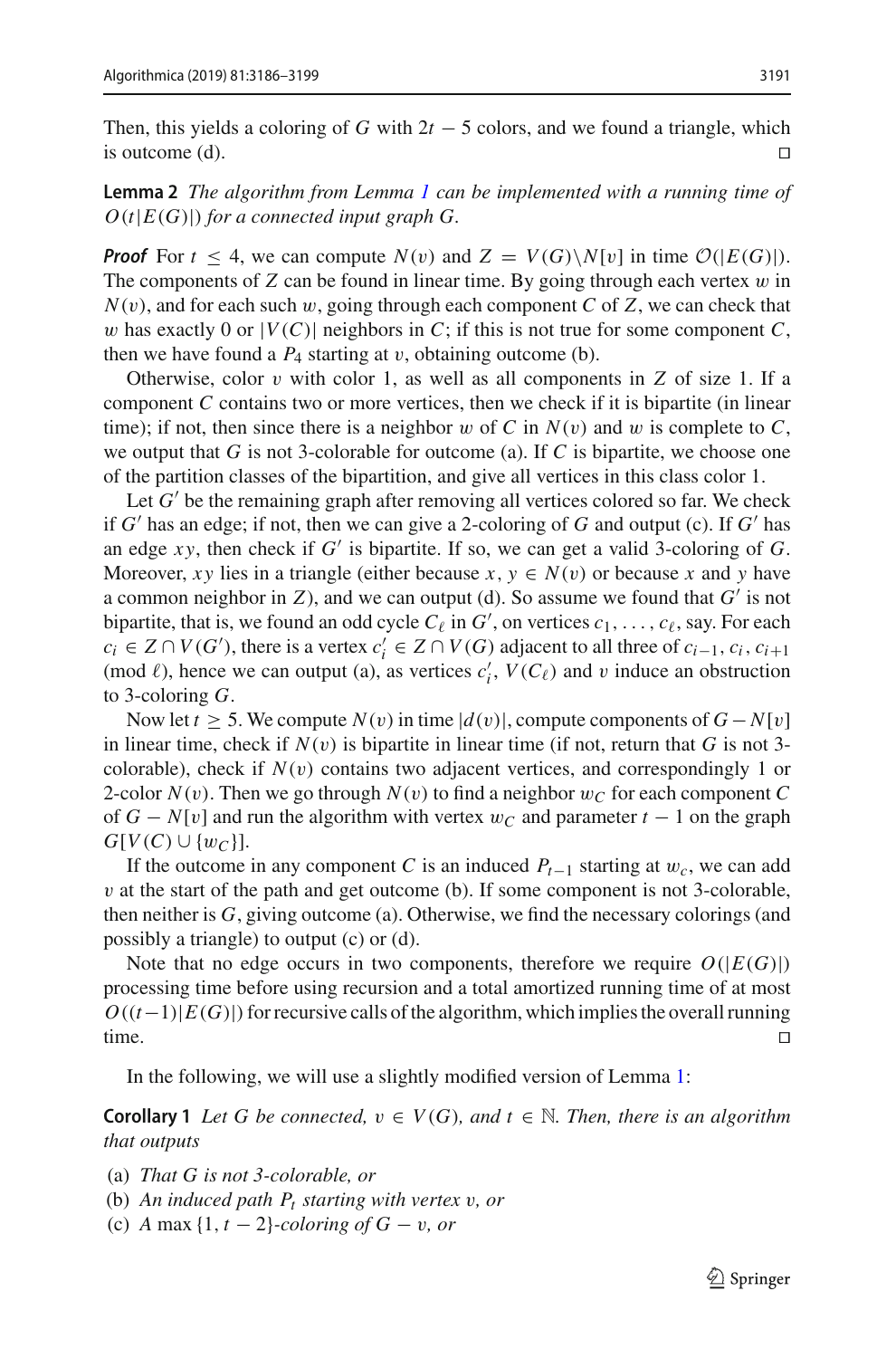Then, this yields a coloring of *G* with  $2t - 5$  colors, and we found a triangle, which is outcome (d). is outcome (d). 

<span id="page-5-0"></span>**Lemma 2** *The algorithm from Lemma [1](#page-3-0) can be implemented with a running time of*  $O(t|E(G)|)$  *for a connected input graph G.* 

*Proof* For  $t < 4$ , we can compute  $N(v)$  and  $Z = V(G) \setminus N[v]$  in time  $\mathcal{O}(|E(G)|)$ . The components of  $Z$  can be found in linear time. By going through each vertex  $w$  in  $N(v)$ , and for each such w, going through each component *C* of *Z*, we can check that w has exactly 0 or  $|V(C)|$  neighbors in C; if this is not true for some component C, then we have found a  $P_4$  starting at v, obtaining outcome (b).

Otherwise, color  $v$  with color 1, as well as all components in  $Z$  of size 1. If a component *C* contains two or more vertices, then we check if it is bipartite (in linear time); if not, then since there is a neighbor w of C in  $N(v)$  and w is complete to C, we output that *G* is not 3-colorable for outcome (a). If *C* is bipartite, we choose one of the partition classes of the bipartition, and give all vertices in this class color 1.

Let  $G'$  be the remaining graph after removing all vertices colored so far. We check if  $G'$  has an edge; if not, then we can give a 2-coloring of  $G$  and output (c). If  $G'$  has an edge  $xy$ , then check if  $G'$  is bipartite. If so, we can get a valid 3-coloring of  $G$ . Moreover, *xy* lies in a triangle (either because *x*,  $y \in N(v)$  or because *x* and *y* have a common neighbor in  $Z$ ), and we can output (d). So assume we found that  $G'$  is not bipartite, that is, we found an odd cycle  $C_{\ell}$  in  $G'$ , on vertices  $c_1, \ldots, c_{\ell}$ , say. For each  $c_i \in Z \cap V(G')$ , there is a vertex  $c'_i \in Z \cap V(G)$  adjacent to all three of  $c_{i-1}, c_i, c_{i+1}$ (mod  $\ell$ ), hence we can output (a), as vertices  $c'_{i}$ ,  $V(C_{\ell})$  and v induce an obstruction to 3-coloring *G*.

Now let  $t \geq 5$ . We compute  $N(v)$  in time  $|d(v)|$ , compute components of  $G - N[v]$ in linear time, check if  $N(v)$  is bipartite in linear time (if not, return that G is not 3colorable), check if  $N(v)$  contains two adjacent vertices, and correspondingly 1 or 2-color  $N(v)$ . Then we go through  $N(v)$  to find a neighbor  $w_C$  for each component C of  $G - N[v]$  and run the algorithm with vertex  $w_C$  and parameter  $t - 1$  on the graph  $G[V(C) \cup \{w_C\}].$ 

If the outcome in any component *C* is an induced  $P_{t-1}$  starting at  $w_c$ , we can add  $v$  at the start of the path and get outcome (b). If some component is not 3-colorable, then neither is *G*, giving outcome (a). Otherwise, we find the necessary colorings (and possibly a triangle) to output (c) or (d).

Note that no edge occurs in two components, therefore we require  $O(|E(G)|)$ processing time before using recursion and a total amortized running time of at most  $O((t-1)|E(G)|)$  for recursive calls of the algorithm, which implies the overall running time. time.

<span id="page-5-1"></span>In the following, we will use a slightly modified version of Lemma [1:](#page-3-0)

**Corollary 1** *Let G be connected,*  $v \in V(G)$ *, and*  $t \in \mathbb{N}$ *. Then, there is an algorithm that outputs*

- (a) *That G is not 3-colorable, or*
- (b) *An induced path Pt starting with vertex* v*, or*
- (c) *A* max {1, *t* − 2}*-coloring of G* − v*, or*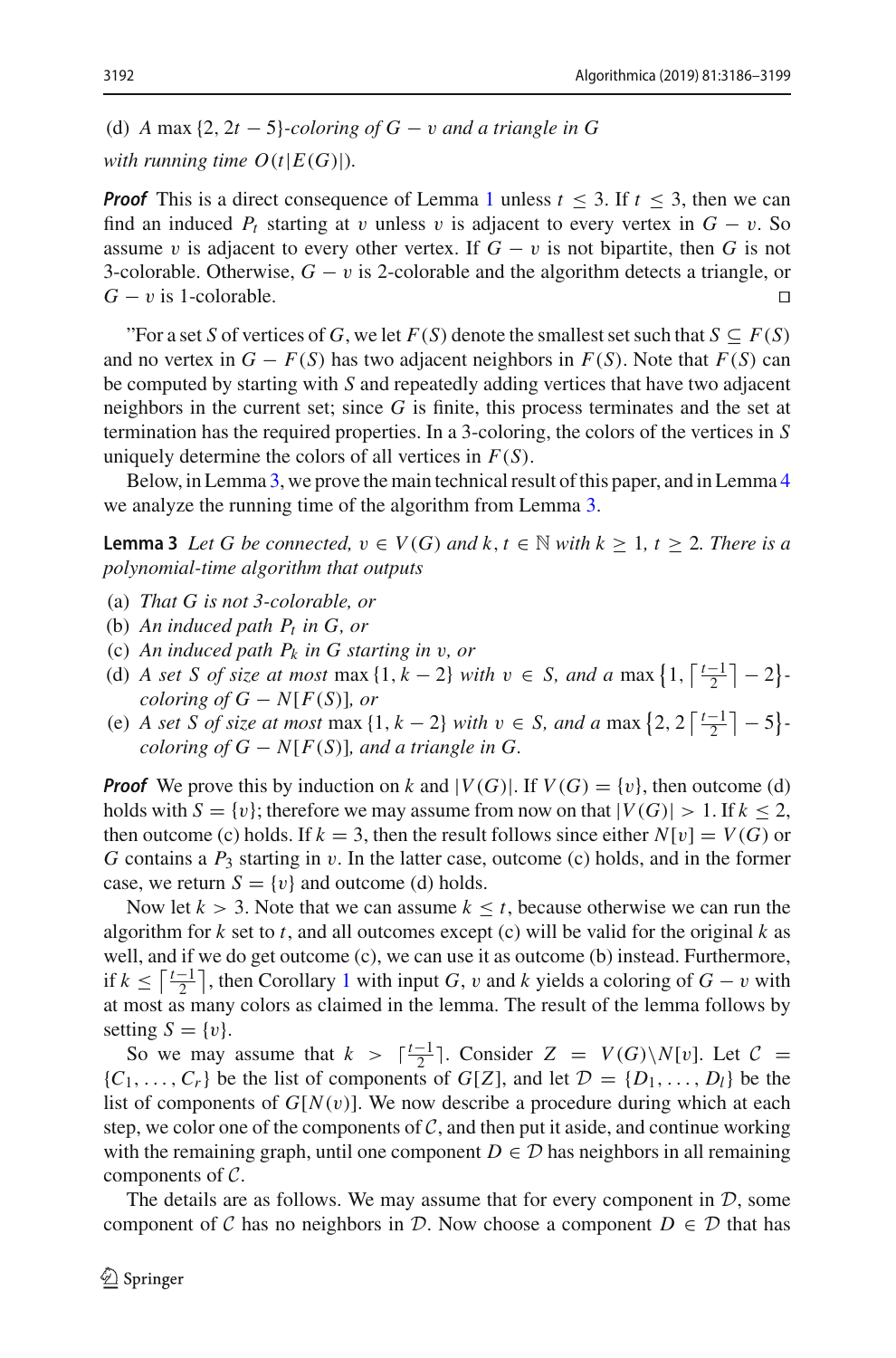(d) *A* max {2, 2*t* − 5}*-coloring of G* − v *and a triangle in G*

*with running time*  $O(t|E(G)|)$ *.* 

*Proof* This is a direct consequence of Lemma [1](#page-3-0) unless  $t \leq 3$ . If  $t \leq 3$ , then we can find an induced  $P_t$  starting at v unless v is adjacent to every vertex in  $G - v$ . So assume v is adjacent to every other vertex. If  $G - v$  is not bipartite, then G is not 3-colorable. Otherwise,  $G - v$  is 2-colorable and the algorithm detects a triangle, or  $G - v$  is 1-colorable.  $G - v$  is 1-colorable.

"For a set *S* of vertices of *G*, we let  $F(S)$  denote the smallest set such that  $S \subseteq F(S)$ and no vertex in  $G - F(S)$  has two adjacent neighbors in  $F(S)$ . Note that  $F(S)$  can be computed by starting with *S* and repeatedly adding vertices that have two adjacent neighbors in the current set; since *G* is finite, this process terminates and the set at termination has the required properties. In a 3-coloring, the colors of the vertices in *S* uniquely determine the colors of all vertices in *F*(*S*).

<span id="page-6-0"></span>Below, in Lemma [3,](#page-6-0) we prove the main technical result of this paper, and in Lemma [4](#page-8-0) we analyze the running time of the algorithm from Lemma [3.](#page-6-0)

**Lemma 3** Let G be connected,  $v \in V(G)$  and  $k, t \in \mathbb{N}$  with  $k \geq 1$ ,  $t \geq 2$ . There is a *polynomial-time algorithm that outputs*

- (a) *That G is not 3-colorable, or*
- (b) *An induced path Pt in G, or*
- (c) *An induced path Pk in G starting in* v*, or*
- (d) *A set S of size at most* max  $\{1, k 2\}$  *with*  $v \in S$ *, and a* max  $\{1, \left\lceil \frac{t-1}{2} \right\rceil 2\}$ *coloring of G*  $- N[F(S)]$ *, or*
- (e) *A set S of size at most* max  $\{1, k 2\}$  *with*  $v \in S$ *, and a* max  $\{2, 2 \lceil \frac{t-1}{2} \rceil 5\}$ *coloring of*  $G - N[F(S)]$ *, and a triangle in G.*

*Proof* We prove this by induction on *k* and  $|V(G)|$ . If  $V(G) = \{v\}$ , then outcome (d) holds with  $S = \{v\}$ ; therefore we may assume from now on that  $|V(G)| > 1$ . If  $k \leq 2$ , then outcome (c) holds. If  $k = 3$ , then the result follows since either  $N[v] = V(G)$  or *G* contains a *P*<sup>3</sup> starting in v. In the latter case, outcome (c) holds, and in the former case, we return  $S = \{v\}$  and outcome (d) holds.

Now let  $k > 3$ . Note that we can assume  $k \leq t$ , because otherwise we can run the algorithm for  $k$  set to  $t$ , and all outcomes except (c) will be valid for the original  $k$  as well, and if we do get outcome (c), we can use it as outcome (b) instead. Furthermore, if  $k \n≤ \left\lceil \frac{t-1}{2} \right\rceil$  $k \n≤ \left\lceil \frac{t-1}{2} \right\rceil$  $k \n≤ \left\lceil \frac{t-1}{2} \right\rceil$ , then Corollary 1 with input *G*, *v* and *k* yields a coloring of *G* − *v* with at most as many colors as claimed in the lemma. The result of the lemma follows by setting  $S = \{v\}.$ 

So we may assume that  $k > \lceil \frac{t-1}{2} \rceil$ . Consider  $Z = V(G) \setminus N[v]$ . Let  $C =$  ${C_1, \ldots, C_r}$  be the list of components of  $G[Z]$ , and let  $\mathcal{D} = \{D_1, \ldots, D_l\}$  be the list of components of  $G[N(v)]$ . We now describe a procedure during which at each step, we color one of the components of  $C$ , and then put it aside, and continue working with the remaining graph, until one component  $D \in \mathcal{D}$  has neighbors in all remaining components of *C*.

The details are as follows. We may assume that for every component in *D*, some component of *C* has no neighbors in *D*. Now choose a component  $D \in \mathcal{D}$  that has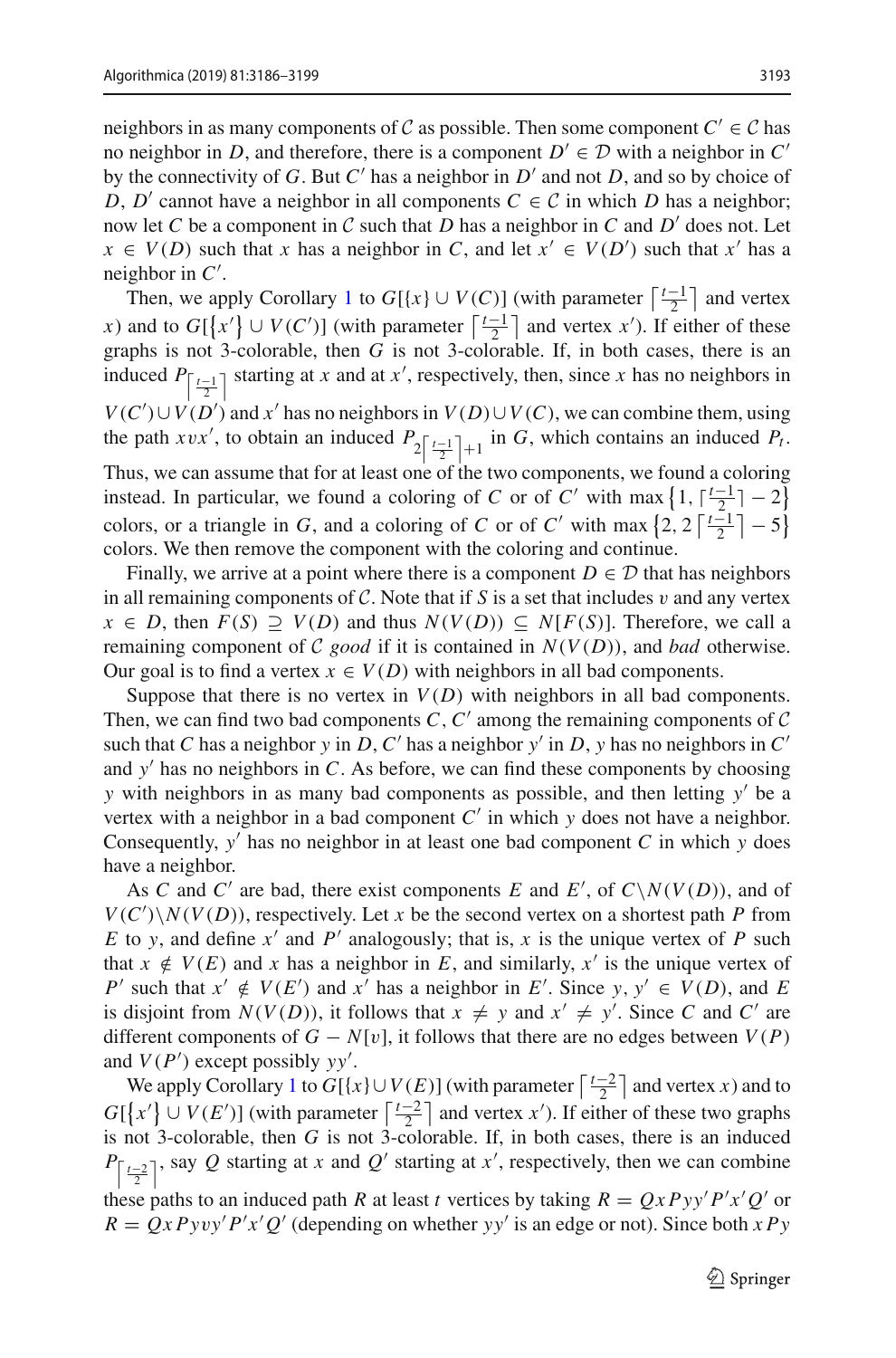neighbors in as many components of *C* as possible. Then some component  $C' \in \mathcal{C}$  has no neighbor in *D*, and therefore, there is a component  $D' \in \mathcal{D}$  with a neighbor in *C'* by the connectivity of *G*. But  $C'$  has a neighbor in  $D'$  and not *D*, and so by choice of *D*, *D'* cannot have a neighbor in all components  $C \in C$  in which *D* has a neighbor; now let *C* be a component in *C* such that *D* has a neighbor in *C* and *D'* does not. Let  $x \in V(D)$  such that *x* has a neighbor in *C*, and let  $x' \in V(D')$  such that  $x'$  has a neighbor in *C* .

Then, we apply Corollary [1](#page-5-1) to  $G[{x} \cup V(C)]$  (with parameter  $\lceil \frac{t-1}{2} \rceil$  and vertex *x*) and to  $G[\{x'\} \cup V(C')]$  (with parameter  $\lceil \frac{t-1}{2} \rceil$  and vertex *x'*). If either of these graphs is not 3-colorable, then *G* is not 3-colorable. If, in both cases, there is an analyzed in the *G* is not 3-colorable. If, in both cases, there is an induced  $P_{\left\lceil \frac{t-1}{2} \right\rceil}$  starting at *x* and at *x'*, respectively, then, since *x* has no neighbors in *V*(*C*<sup> $\prime$ </sup>)∪*V*(*D*<sup> $\prime$ </sup>) and *x*<sup> $\prime$ </sup> has no neighbors in *V*(*D*)∪*V*(*C*), we can combine them, using the path *xvx'*, to obtain an induced  $P_2\left[\frac{t-1}{2}\right]+1$  in *G*, which contains an induced  $P_t$ . Thus, we can assume that for at least one of the two components, we found a coloring instead. In particular, we found a coloring of *C* or of *C'* with max  $\left\{1, \frac{t-1}{2}, -2\right\}$ colors, or a triangle in *G*, and a coloring of *C* or of *C'* with max  $\left\{2, 2 \left\lceil \frac{t-1}{2} \right\rceil - 5\right\}$ colors. We then remove the component with the coloring and continue.

Finally, we arrive at a point where there is a component  $D \in \mathcal{D}$  that has neighbors in all remaining components of  $C$ . Note that if  $S$  is a set that includes  $v$  and any vertex *x* ∈ *D*, then  $F(S) \supseteq V(D)$  and thus  $N(V(D)) \subseteq N[F(S)]$ . Therefore, we call a remaining component of *C good* if it is contained in  $N(V(D))$ , and *bad* otherwise. Our goal is to find a vertex  $x \in V(D)$  with neighbors in all bad components.

Suppose that there is no vertex in  $V(D)$  with neighbors in all bad components. Then, we can find two bad components  $C, C'$  among the remaining components of  $C$ such that *C* has a neighbor *y* in *D*, *C'* has a neighbor *y'* in *D*, *y* has no neighbors in *C'* and  $y'$  has no neighbors in  $C$ . As before, we can find these components by choosing *y* with neighbors in as many bad components as possible, and then letting *y* be a vertex with a neighbor in a bad component  $C'$  in which  $y$  does not have a neighbor. Consequently, *y* has no neighbor in at least one bad component *C* in which *y* does have a neighbor.

As *C* and *C'* are bad, there exist components *E* and *E'*, of *C*\*N*(*V*(*D*)), and of  $V(C')\setminus N(V(D))$ , respectively. Let *x* be the second vertex on a shortest path *P* from *E* to *y*, and define  $x'$  and  $P'$  analogously; that is,  $x$  is the unique vertex of  $P$  such that  $x \notin V(E)$  and *x* has a neighbor in *E*, and similarly,  $x'$  is the unique vertex of *P*<sup> $\prime$ </sup> such that *x*<sup> $\prime$ </sup> ∉ *V*(*E* $\prime$ ) and *x*<sup> $\prime$ </sup> has a neighbor in *E*<sup> $\prime$ </sup>. Since *y*, *y*<sup> $\prime$ </sup> ∈ *V*(*D*), and *E* is disjoint from  $N(V(D))$ , it follows that  $x \neq y$  and  $x' \neq y'$ . Since *C* and *C'* are different components of  $G - N[v]$ , it follows that there are no edges between  $V(P)$ and *V*(*P* ) except possibly *yy* .

We apply Corollary [1](#page-5-1) to  $G[\{x\} \cup V(E)]$  (with parameter  $\lceil \frac{t-2}{2} \rceil$  and vertex *x*) and to  $G[{x'}]\cup V(E')$  (with parameter  $\lceil \frac{t-2}{2} \rceil$  and vertex *x*'). If either of these two graphs is not 3-colorable, then *G* is not 3-colorable. If, in both cases, there is an induced  $P_{\left[\frac{t-2}{2}\right]}$ , say *Q* starting at *x* and *Q*' starting at *x*', respectively, then we can combine these paths to an induced path *R* at least *t* vertices by taking  $R = QxPyy'P'x'Q'$  or  $R = QxPyvy'P'x'Q'$  (depending on whether *yy'* is an edge or not). Since both  $xPy$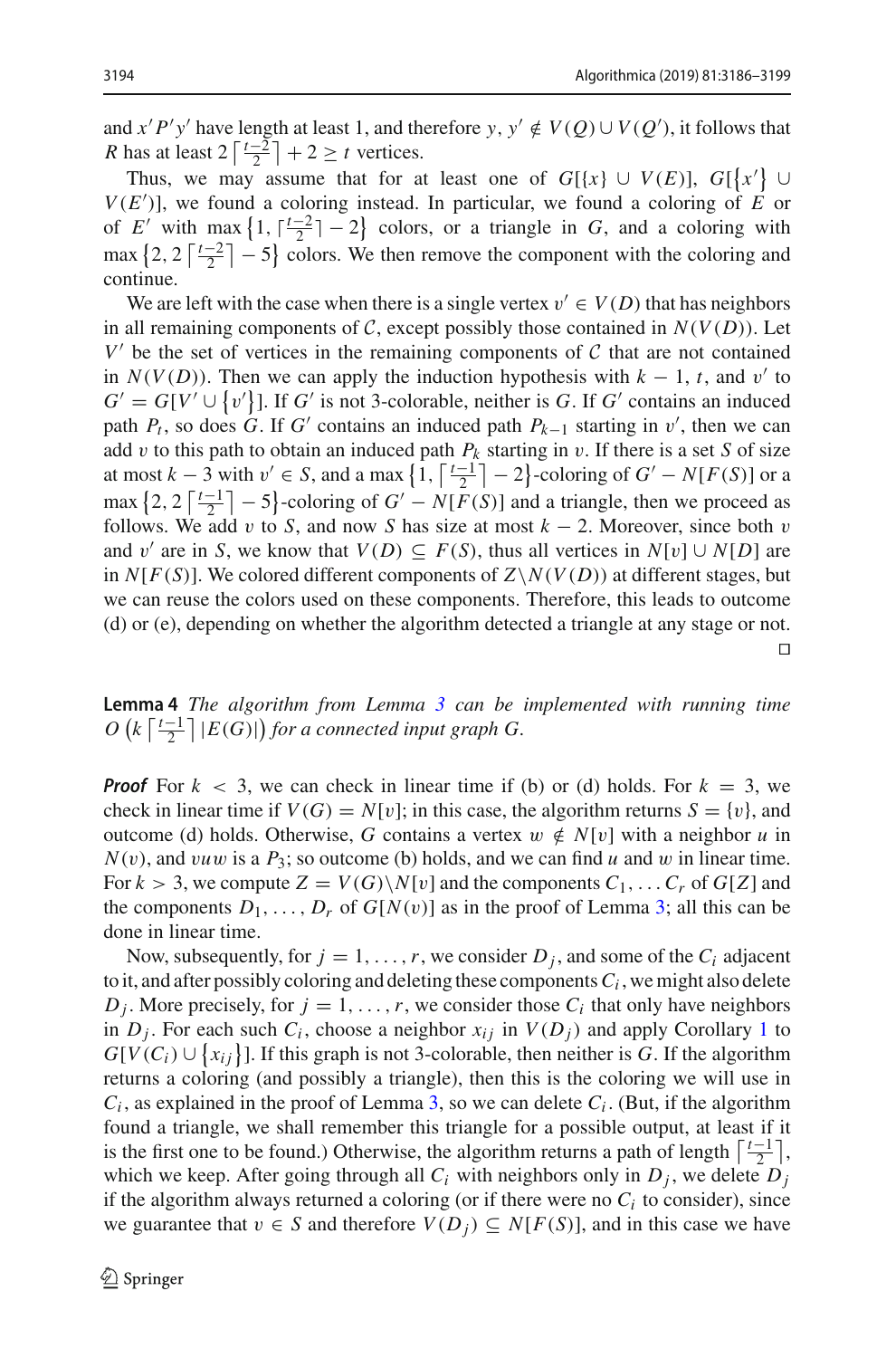and *x'P'y'* have length at least 1, and therefore *y*,  $y' \notin V(Q) \cup V(Q')$ , it follows that *R* has at least  $2\left\lceil \frac{t-2}{2} \right\rceil + 2 \ge t$  vertices.

Thus, we may assume that for at least one of  $G[\{x\} \cup V(E)]$ ,  $G[\{x'\} \cup$  $V(E')$ , we found a coloring instead. In particular, we found a coloring of *E* or of *E'* with max  $\left\{1, \left\lceil \frac{t-2}{2} \right\rceil - 2\right\}$  colors, or a triangle in *G*, and a coloring with max  $\left\{2, 2 \left\lceil \frac{t-2}{2} \right\rceil - 5\right\}$  colors. We then remove the component with the coloring and continue.

We are left with the case when there is a single vertex  $v' \in V(D)$  that has neighbors in all remaining components of *C*, except possibly those contained in  $N(V(D))$ . Let  $V'$  be the set of vertices in the remaining components of  $C$  that are not contained in  $N(V(D))$ . Then we can apply the induction hypothesis with  $k - 1$ , *t*, and v' to  $G' = G[V' \cup \{v'\}]$ . If *G'* is not 3-colorable, neither is *G*. If *G'* contains an induced path  $P_t$ , so does *G*. If *G'* contains an induced path  $P_{k-1}$  starting in v', then we can add v to this path to obtain an induced path  $P_k$  starting in v. If there is a set *S* of size at most  $k-3$  with  $v' \in S$ , and a max  $\left\{1, \left\lceil \frac{t-1}{2} \right\rceil - 2\right\}$ -coloring of  $G' - N[F(S)]$  or a  $\max \left\{ 2, 2 \left[ \frac{t-1}{2} \right] - 5 \right\}$ -coloring of  $G' - N[F(S)]$  and a triangle, then we proceed as follows. We add v to *S*, and now *S* has size at most  $k - 2$ . Moreover, since both v and v' are in *S*, we know that  $V(D) \subseteq F(S)$ , thus all vertices in  $N[v] \cup N[D]$  are in  $N[F(S)]$ . We colored different components of  $Z\setminus N(V(D))$  at different stages, but we can reuse the colors used on these components. Therefore, this leads to outcome (d) or (e), depending on whether the algorithm detected a triangle at any stage or not.  $\Box$ 

<span id="page-8-0"></span>**Lemma 4** *The algorithm from Lemma [3](#page-6-0) can be implemented with running time*  $O\left(k\left\lceil\frac{t-1}{2}\right\rceil |E(G)|\right)$  for a connected input graph G.

*Proof* For  $k < 3$ , we can check in linear time if (b) or (d) holds. For  $k = 3$ , we check in linear time if  $V(G) = N[v]$ ; in this case, the algorithm returns  $S = \{v\}$ , and outcome (d) holds. Otherwise, *G* contains a vertex  $w \notin N[v]$  with a neighbor *u* in  $N(v)$ , and *vuw* is a  $P_3$ ; so outcome (b) holds, and we can find *u* and *w* in linear time. For  $k > 3$ , we compute  $Z = V(G) \setminus N[v]$  and the components  $C_1, \ldots, C_r$  of  $G[Z]$  and the components  $D_1, \ldots, D_r$  of  $G[N(v)]$  as in the proof of Lemma [3;](#page-6-0) all this can be done in linear time.

Now, subsequently, for  $j = 1, \ldots, r$ , we consider  $D_j$ , and some of the  $C_i$  adjacent to it, and after possibly coloring and deleting these components  $C_i$ , we might also delete  $D_j$ . More precisely, for  $j = 1, \ldots, r$ , we consider those  $C_i$  that only have neighbors in  $D_i$ . For each such  $C_i$ , choose a neighbor  $x_{ij}$  in  $V(D_i)$  and apply Corollary [1](#page-5-1) to  $G[V(C_i) \cup \{x_{ij}\}]$ . If this graph is not 3-colorable, then neither is *G*. If the algorithm returns a coloring (and possibly a triangle), then this is the coloring we will use in  $C_i$ , as explained in the proof of Lemma [3,](#page-6-0) so we can delete  $C_i$ . (But, if the algorithm found a triangle, we shall remember this triangle for a possible output, at least if it is the first one to be found.) Otherwise, the algorithm returns a path of length  $\lceil \frac{t-1}{2} \rceil$ , which we keep. After going through all  $C_i$  with neighbors only in  $D_j$ , we delete  $D_j$ if the algorithm always returned a coloring (or if there were no  $C<sub>i</sub>$  to consider), since we guarantee that  $v \in S$  and therefore  $V(D_i) \subseteq N[F(S)]$ , and in this case we have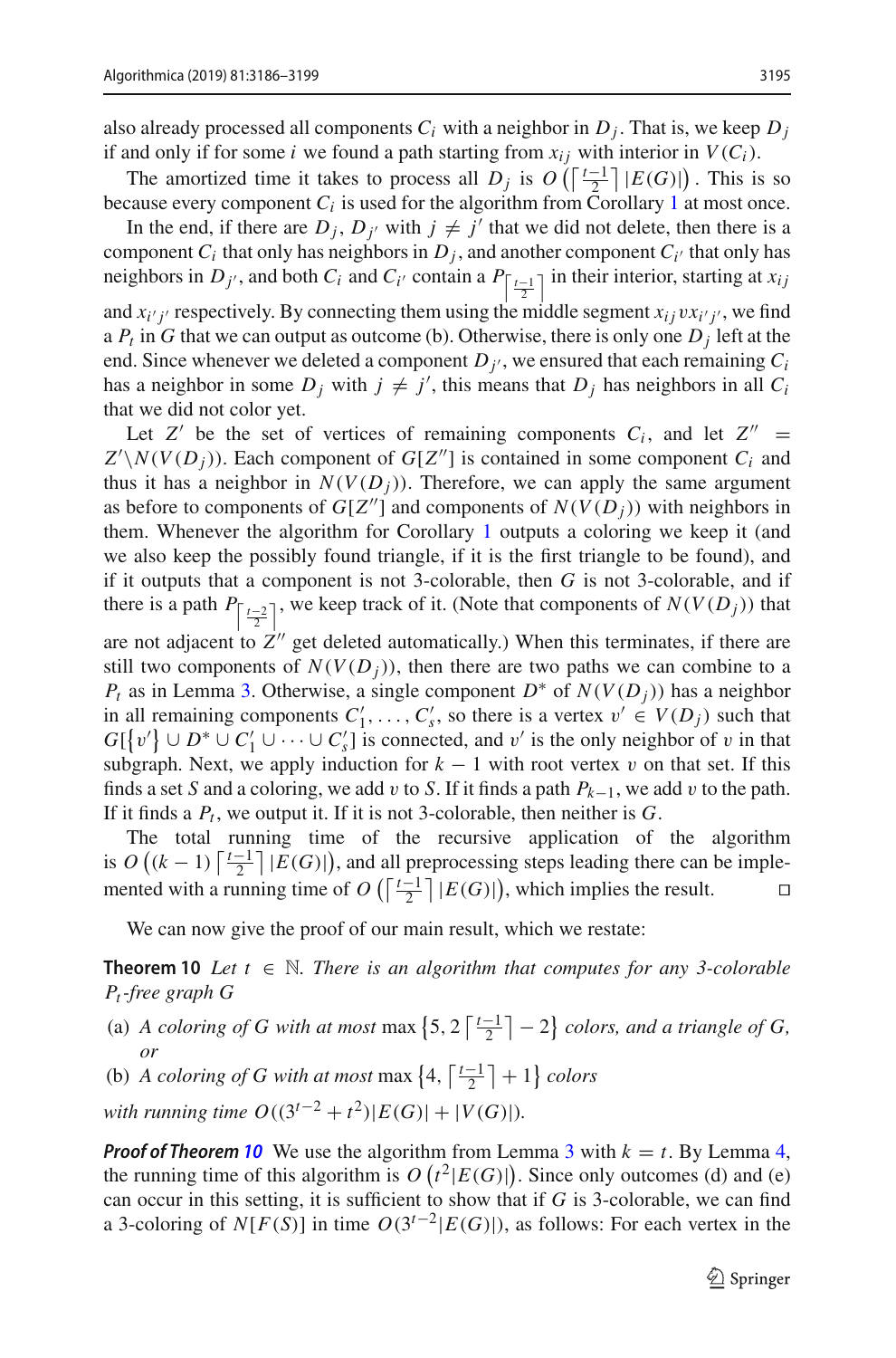also already processed all components  $C_i$  with a neighbor in  $D_i$ . That is, we keep  $D_i$ if and only if for some *i* we found a path starting from  $x_{ij}$  with interior in  $V(C_i)$ .

The amortized time it takes to process all *D<sub>j</sub>* is  $O\left(\left\lceil \frac{t-1}{2} \right\rceil |E(G)|\right)$ . This is so because every component  $C_i$  is used for the algorithm from Corollary [1](#page-5-1) at most once.

In the end, if there are  $D_j$ ,  $D_{j'}$  with  $j \neq j'$  that we did not delete, then there is a component  $C_i$  that only has neighbors in  $D_i$ , and another component  $C_i$  that only has neighbors in *D<sub>j'</sub>*, and both *C<sub>i</sub>* and *C<sub>i'</sub>* contain a  $P_{\left\lceil \frac{t-1}{2} \right\rceil}$  in their interior, starting at *x<sub>ij</sub>* and  $x_i$  *j* respectively. By connecting them using the middle segment  $x_i$  *j*  $vx_i$  *j*  $\prime$ , we find a  $P_t$  in G that we can output as outcome (b). Otherwise, there is only one  $D_i$  left at the end. Since whenever we deleted a component  $D_i$ , we ensured that each remaining  $C_i$ has a neighbor in some  $D_j$  with  $j \neq j'$ , this means that  $D_j$  has neighbors in all  $C_i$ that we did not color yet.

Let  $Z'$  be the set of vertices of remaining components  $C_i$ , and let  $Z'' =$  $Z' \setminus N(V(D_j))$ . Each component of *G*[*Z*<sup>*n*</sup>] is contained in some component *C<sub>i</sub>* and thus it has a neighbor in  $N(V(D_i))$ . Therefore, we can apply the same argument as before to components of  $G[Z'']$  and components of  $N(V(D_i))$  with neighbors in them. Whenever the algorithm for Corollary [1](#page-5-1) outputs a coloring we keep it (and we also keep the possibly found triangle, if it is the first triangle to be found), and if it outputs that a component is not 3-colorable, then *G* is not 3-colorable, and if there is a path  $P_{\left[\frac{t-2}{2}\right]}$ , we keep track of it. (Note that components of  $N(V(D_j))$  that are not adjacent to  $Z''$  get deleted automatically.) When this terminates, if there are still two components of  $N(V(D_i))$ , then there are two paths we can combine to a *P<sub>t</sub>* as in Lemma [3.](#page-6-0) Otherwise, a single component  $D^*$  of  $N(V(D_j))$  has a neighbor in all remaining components  $C'_1, \ldots, C'_s$ , so there is a vertex  $v' \in V(D_j)$  such that  $G[\{v'\} \cup D^* \cup C'_1 \cup \cdots \cup C'_s]$  is connected, and v' is the only neighbor of v in that

subgraph. Next, we apply induction for  $k - 1$  with root vertex v on that set. If this finds a set *S* and a coloring, we add v to *S*. If it finds a path  $P_{k-1}$ , we add v to the path. If it finds a *Pt* , we output it. If it is not 3-colorable, then neither is *G*.

The total running time of the recursive application of the algorithm is  $O((k-1)\lceil \frac{t-1}{2} \rceil |E(G)|)$ , and all preprocessing steps leading there can be implemented with a running time of *O* ( $\lceil \frac{t-1}{2} \rceil$  |*E*(*G*)|), which implies the result. □

<span id="page-9-0"></span>We can now give the proof of our main result, which we restate:

**Theorem 10** *Let*  $t \in \mathbb{N}$ *. There is an algorithm that computes for any 3-colorable Pt-free graph G*

- (a) *A coloring of G with at most* max  $\left\{5, 2\left\lceil \frac{t-1}{2} \right\rceil 2\right\}$  *colors, and a triangle of G, or*
- (b) *A coloring of G with at most* max  $\left\{4, \left\lceil \frac{t-1}{2} \right\rceil + 1\right\}$  *colors*

*with running time O*( $(3^{t-2} + t^2)$ |*E*(*G*)|+|*V*(*G*)|)*.* 

*Proof of Theorem* **[10](#page-9-0)** We use the algorithm from Lemma [3](#page-6-0) with  $k = t$ . By Lemma [4,](#page-8-0) the running time of this algorithm is  $O(t^2|E(G)|)$ . Since only outcomes (d) and (e) can occur in this setting, it is sufficient to show that if *G* is 3-colorable, we can find a 3-coloring of *N*[ $F(S)$ ] in time  $O(3^{t-2}|E(G)|)$ , as follows: For each vertex in the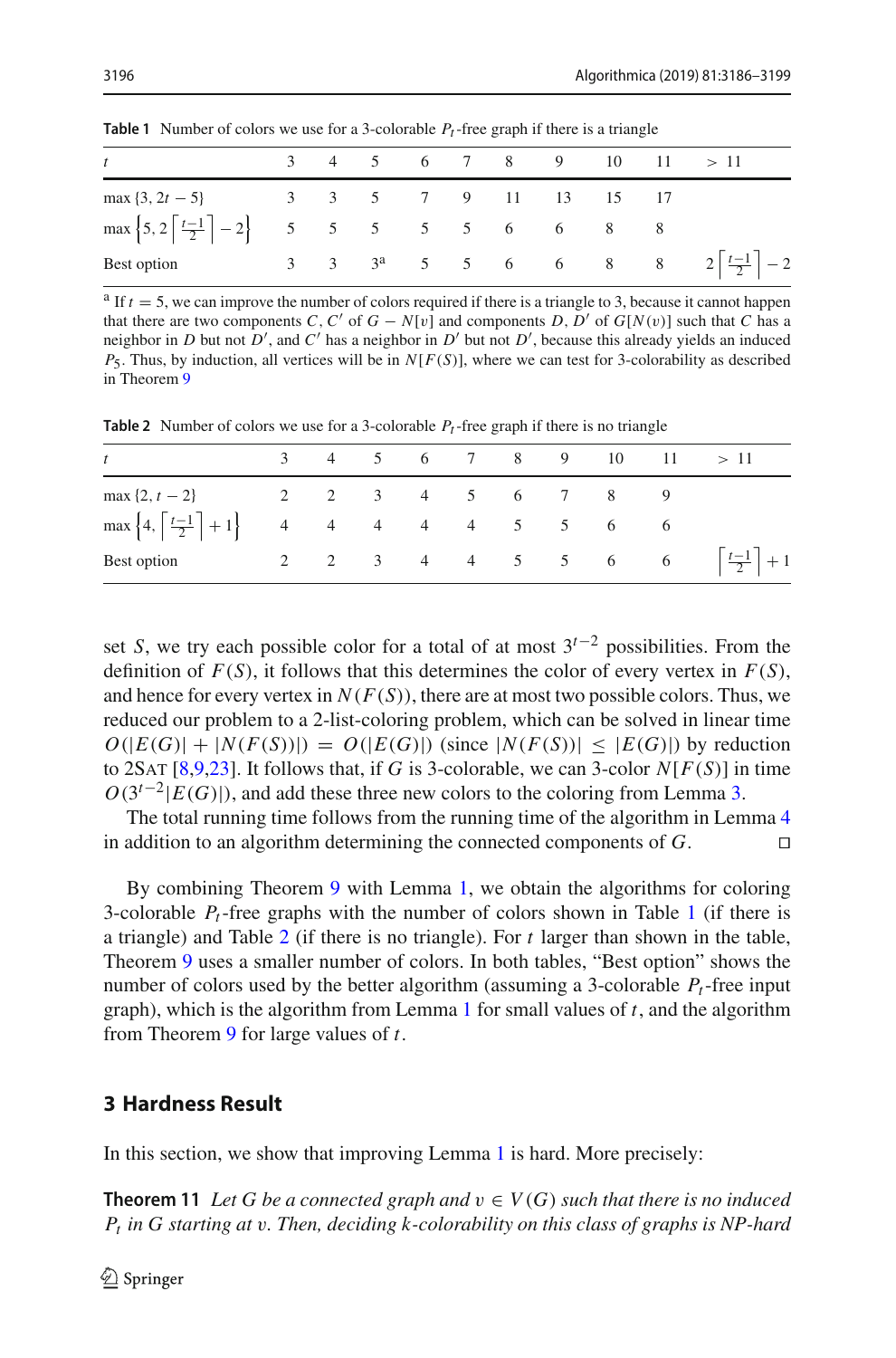| t                                                                                    |  |  |  |  |  |  |  |  |  | $3 \t 4 \t 5 \t 6 \t 7 \t 8 \t 9 \t 10 \t 11 \t 11$             |
|--------------------------------------------------------------------------------------|--|--|--|--|--|--|--|--|--|-----------------------------------------------------------------|
| $\max\{3, 2t - 5\}$ 3 3 5 7 9 11 13 15 17                                            |  |  |  |  |  |  |  |  |  |                                                                 |
| $\max \left\{5, 2\left\lceil \frac{t-1}{2} \right\rceil - 2\right\}$ 5 5 5 5 6 6 8 8 |  |  |  |  |  |  |  |  |  |                                                                 |
| Best option                                                                          |  |  |  |  |  |  |  |  |  | 3 3 3 <sup>a</sup> 5 5 6 6 8 8 2 $\left[\frac{t-1}{2}\right]-2$ |

<span id="page-10-2"></span>**Table 1** Number of colors we use for a 3-colorable *Pt*-free graph if there is a triangle

 $a$  If  $t = 5$ , we can improve the number of colors required if there is a triangle to 3, because it cannot happen that there are two components *C*, *C'* of  $G - N[v]$  and components *D*, *D'* of  $G[N(v)]$  such that *C* has a neighbor in *D* but not *D'*, and *C'* has a neighbor in *D'* but not *D'*, because this already yields an induced *P*5. Thus, by induction, all vertices will be in *N*[*F*(*S*)], where we can test for 3-colorability as described in Theorem [9](#page-2-1)

<span id="page-10-3"></span>**Table 2** Number of colors we use for a 3-colorable *Pt*-free graph if there is no triangle

| $\mathfrak{t}$                                                                     |  |  |  |                   | $3 \t 4 \t 5 \t 6 \t 7 \t 8 \t 9 \t 10 \t 11 \t > 11$ |
|------------------------------------------------------------------------------------|--|--|--|-------------------|-------------------------------------------------------|
| $\max\{2, t-2\}$                                                                   |  |  |  | 2 2 3 4 5 6 7 8 9 |                                                       |
| $\max\left\{4, \left\lceil \frac{t-1}{2} \right\rceil + 1\right\}$ 4 4 4 4 5 5 6 6 |  |  |  |                   |                                                       |
| Best option                                                                        |  |  |  |                   | 2 2 3 4 4 5 5 6 6 $\left[\frac{t-1}{2}\right]+1$      |

set *S*, we try each possible color for a total of at most 3*t*−<sup>2</sup> possibilities. From the definition of  $F(S)$ , it follows that this determines the color of every vertex in  $F(S)$ , and hence for every vertex in  $N(F(S))$ , there are at most two possible colors. Thus, we reduced our problem to a 2-list-coloring problem, which can be solved in linear time  $O(|E(G)|+|N(F(S))|) = O(|E(G)|)$  (since  $|N(F(S))| \leq |E(G)|$ ) by reduction to 2SAT [\[8](#page-12-11)[,9](#page-12-12)[,23\]](#page-13-8). It follows that, if *G* is 3-colorable, we can 3-color  $N[F(S)]$  in time  $O(3^{t-2}|E(G)|)$ , and add these three new colors to the coloring from Lemma [3.](#page-6-0)

The total running time follows from the running time of the algorithm in Lemma [4](#page-8-0) in addition to an algorithm determining the connected components of *G*. 

By combining Theorem [9](#page-2-1) with Lemma [1,](#page-3-0) we obtain the algorithms for coloring 3-colorable  $P_t$ -free graphs with the number of colors shown in Table [1](#page-10-2) (if there is a triangle) and Table [2](#page-10-3) (if there is no triangle). For *t* larger than shown in the table, Theorem [9](#page-2-1) uses a smaller number of colors. In both tables, "Best option" shows the number of colors used by the better algorithm (assuming a 3-colorable  $P_t$ -free input graph), which is the algorithm from Lemma [1](#page-3-0) for small values of *t*, and the algorithm from Theorem [9](#page-2-1) for large values of *t*.

## <span id="page-10-1"></span>**3 Hardness Result**

<span id="page-10-0"></span>In this section, we show that improving Lemma [1](#page-3-0) is hard. More precisely:

**Theorem 11** Let G be a connected graph and  $v \in V(G)$  such that there is no induced *Pt in G starting at* v*. Then, deciding k-colorability on this class of graphs is NP-hard*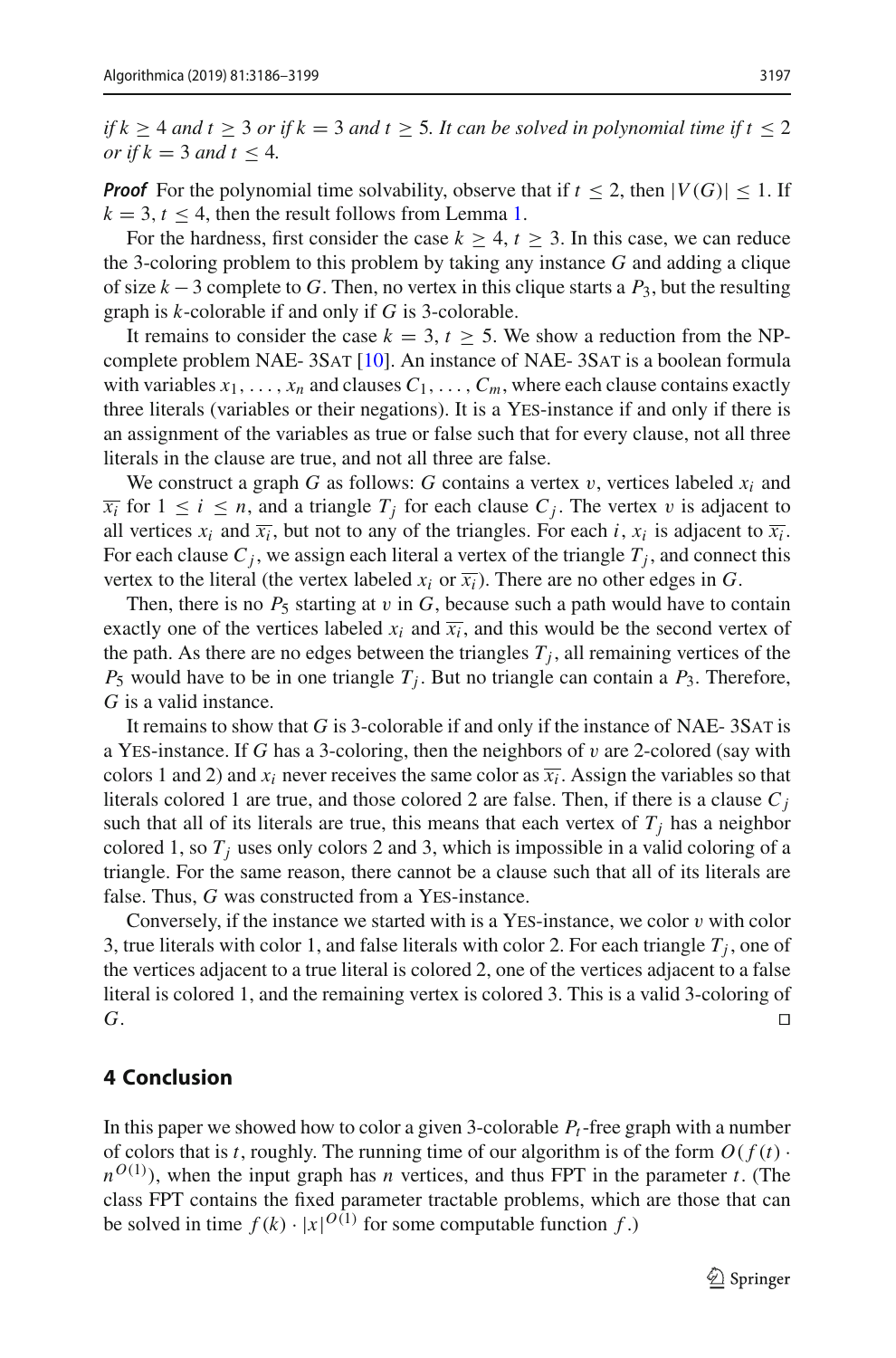*if*  $k \geq 4$  *and*  $t \geq 3$  *or if*  $k = 3$  *and*  $t \geq 5$ *. It can be solved in polynomial time if*  $t \leq 2$ *or if*  $k = 3$  *and*  $t \leq 4$ *.* 

*Proof* For the polynomial time solvability, observe that if  $t \leq 2$ , then  $|V(G)| \leq 1$ . If  $k = 3$ ,  $t < 4$ , then the result follows from Lemma [1.](#page-3-0)

For the hardness, first consider the case  $k > 4$ ,  $t > 3$ . In this case, we can reduce the 3-coloring problem to this problem by taking any instance *G* and adding a clique of size  $k-3$  complete to G. Then, no vertex in this clique starts a  $P_3$ , but the resulting graph is *k*-colorable if and only if *G* is 3-colorable.

It remains to consider the case  $k = 3$ ,  $t > 5$ . We show a reduction from the NP-complete problem NAE-3SAT [\[10](#page-12-13)]. An instance of NAE-3SAT is a boolean formula with variables  $x_1, \ldots, x_n$  and clauses  $C_1, \ldots, C_m$ , where each clause contains exactly three literals (variables or their negations). It is a Yes-instance if and only if there is an assignment of the variables as true or false such that for every clause, not all three literals in the clause are true, and not all three are false.

We construct a graph *G* as follows: *G* contains a vertex  $v$ , vertices labeled  $x_i$  and  $\overline{x_i}$  for  $1 \leq i \leq n$ , and a triangle  $T_j$  for each clause  $C_j$ . The vertex v is adjacent to all vertices  $x_i$  and  $\overline{x_i}$ , but not to any of the triangles. For each *i*,  $x_i$  is adjacent to  $\overline{x_i}$ . For each clause  $C_j$ , we assign each literal a vertex of the triangle  $T_j$ , and connect this vertex to the literal (the vertex labeled  $x_i$  or  $\overline{x_i}$ ). There are no other edges in *G*.

Then, there is no  $P_5$  starting at  $v$  in  $G$ , because such a path would have to contain exactly one of the vertices labeled  $x_i$  and  $\overline{x_i}$ , and this would be the second vertex of the path. As there are no edges between the triangles  $T_i$ , all remaining vertices of the  $P_5$  would have to be in one triangle  $T_i$ . But no triangle can contain a  $P_3$ . Therefore, *G* is a valid instance.

It remains to show that *G* is 3-colorable if and only if the instance of NAE- 3Sat is a Yes-instance. If *G* has a 3-coloring, then the neighbors of v are 2-colored (say with colors 1 and 2) and  $x_i$  never receives the same color as  $\overline{x_i}$ . Assign the variables so that literals colored 1 are true, and those colored 2 are false. Then, if there is a clause  $C_i$ such that all of its literals are true, this means that each vertex of  $T_i$  has a neighbor colored 1, so  $T_j$  uses only colors 2 and 3, which is impossible in a valid coloring of a triangle. For the same reason, there cannot be a clause such that all of its literals are false. Thus, *G* was constructed from a YES-instance.

Conversely, if the instance we started with is a YES-instance, we color  $v$  with color 3, true literals with color 1, and false literals with color 2. For each triangle  $T_i$ , one of the vertices adjacent to a true literal is colored 2, one of the vertices adjacent to a false literal is colored 1, and the remaining vertex is colored 3. This is a valid 3-coloring of *G*. □

### **4 Conclusion**

In this paper we showed how to color a given 3-colorable *Pt*-free graph with a number of colors that is *t*, roughly. The running time of our algorithm is of the form  $O(f(t))$  $n^{O(1)}$ ), when the input graph has *n* vertices, and thus FPT in the parameter *t*. (The class FPT contains the fixed parameter tractable problems, which are those that can be solved in time  $f(k) \cdot |x|^{O(1)}$  for some computable function  $f$ .)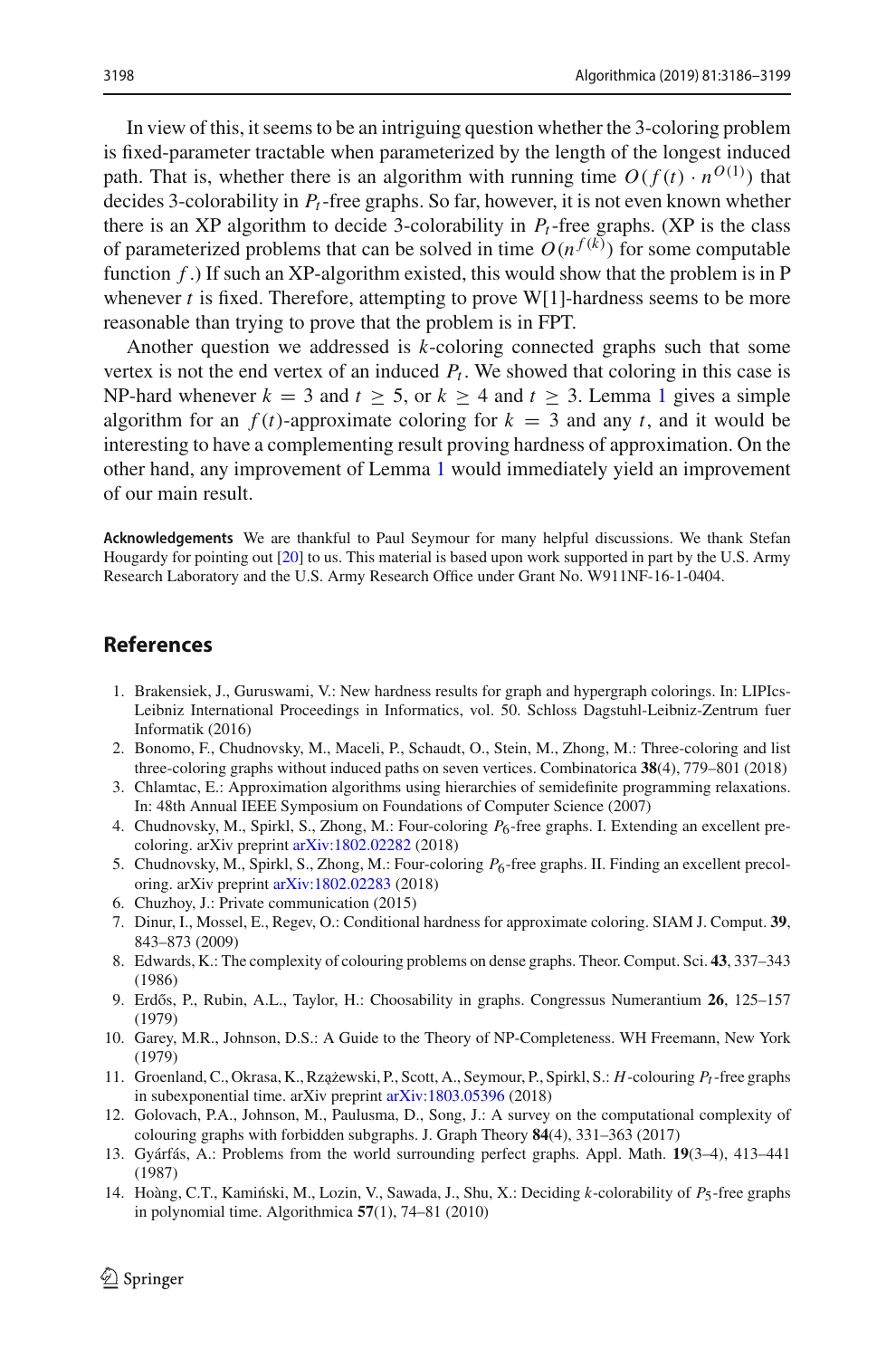In view of this, it seems to be an intriguing question whether the 3-coloring problem is fixed-parameter tractable when parameterized by the length of the longest induced path. That is, whether there is an algorithm with running time  $O(f(t) \cdot n^{O(1)})$  that decides 3-colorability in *Pt*-free graphs. So far, however, it is not even known whether there is an XP algorithm to decide 3-colorability in  $P_t$ -free graphs. (XP is the class of parameterized problems that can be solved in time  $O(n^{f(k)})$  for some computable function *f* .) If such an XP-algorithm existed, this would show that the problem is in P whenever *t* is fixed. Therefore, attempting to prove W[1]-hardness seems to be more reasonable than trying to prove that the problem is in FPT.

Another question we addressed is *k*-coloring connected graphs such that some vertex is not the end vertex of an induced  $P_t$ . We showed that coloring in this case is NP-hard whenever  $k = 3$  and  $t > 5$ , or  $k > 4$  and  $t > 3$ . Lemma [1](#page-3-0) gives a simple algorithm for an  $f(t)$ -approximate coloring for  $k = 3$  and any t, and it would be interesting to have a complementing result proving hardness of approximation. On the other hand, any improvement of Lemma [1](#page-3-0) would immediately yield an improvement of our main result.

**Acknowledgements** We are thankful to Paul Seymour for many helpful discussions. We thank Stefan Hougardy for pointing out [\[20](#page-13-7)] to us. This material is based upon work supported in part by the U.S. Army Research Laboratory and the U.S. Army Research Office under Grant No. W911NF-16-1-0404.

#### **References**

- <span id="page-12-8"></span>1. Brakensiek, J., Guruswami, V.: New hardness results for graph and hypergraph colorings. In: LIPIcs-Leibniz International Proceedings in Informatics, vol. 50. Schloss Dagstuhl-Leibniz-Zentrum fuer Informatik (2016)
- <span id="page-12-1"></span>2. Bonomo, F., Chudnovsky, M., Maceli, P., Schaudt, O., Stein, M., Zhong, M.: Three-coloring and list three-coloring graphs without induced paths on seven vertices. Combinatorica **38**(4), 779–801 (2018)
- <span id="page-12-9"></span>3. Chlamtac, E.: Approximation algorithms using hierarchies of semidefinite programming relaxations. In: 48th Annual IEEE Symposium on Foundations of Computer Science (2007)
- <span id="page-12-2"></span>4. Chudnovsky, M., Spirkl, S., Zhong, M.: Four-coloring *P*6-free graphs. I. Extending an excellent precoloring. arXiv preprint [arXiv:1802.02282](http://arxiv.org/abs/1802.02282) (2018)
- <span id="page-12-3"></span>5. Chudnovsky, M., Spirkl, S., Zhong, M.: Four-coloring *P*6-free graphs. II. Finding an excellent precoloring. arXiv preprint [arXiv:1802.02283](http://arxiv.org/abs/1802.02283) (2018)
- <span id="page-12-6"></span>6. Chuzhoy, J.: Private communication (2015)
- <span id="page-12-7"></span>7. Dinur, I., Mossel, E., Regev, O.: Conditional hardness for approximate coloring. SIAM J. Comput. **39**, 843–873 (2009)
- <span id="page-12-11"></span>8. Edwards, K.: The complexity of colouring problems on dense graphs. Theor. Comput. Sci. **43**, 337–343 (1986)
- <span id="page-12-12"></span>9. Erdős, P., Rubin, A.L., Taylor, H.: Choosability in graphs. Congressus Numerantium 26, 125–157 (1979)
- <span id="page-12-13"></span>10. Garey, M.R., Johnson, D.S.: A Guide to the Theory of NP-Completeness. WH Freemann, New York (1979)
- <span id="page-12-5"></span>11. Groenland, C., Okrasa, K., Rzażewski, P., Scott, A., Seymour, P., Spirkl, S.: *H*-colouring *P<sub>t</sub>*-free graphs in subexponential time. arXiv preprint [arXiv:1803.05396](http://arxiv.org/abs/1803.05396) (2018)
- <span id="page-12-0"></span>12. Golovach, P.A., Johnson, M., Paulusma, D., Song, J.: A survey on the computational complexity of colouring graphs with forbidden subgraphs. J. Graph Theory **84**(4), 331–363 (2017)
- <span id="page-12-10"></span>13. Gyárfás, A.: Problems from the world surrounding perfect graphs. Appl. Math. **19**(3–4), 413–441 (1987)
- <span id="page-12-4"></span>14. Hoàng, C.T., Kamiński, M., Lozin, V., Sawada, J., Shu, X.: Deciding *k*-colorability of *P*<sub>5</sub>-free graphs in polynomial time. Algorithmica **57**(1), 74–81 (2010)